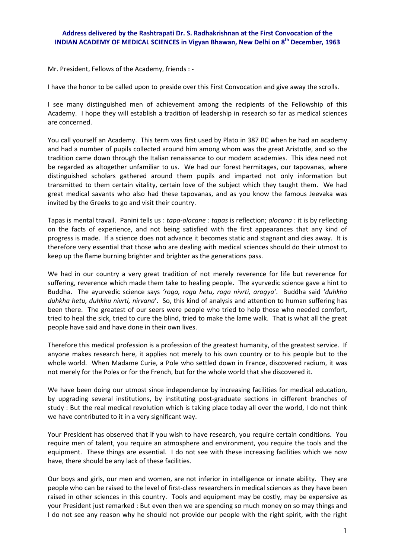## **Address delivered by the Rashtrapati Dr. S. Radhakrishnan at the First Convocation of the INDIAN ACADEMY OF MEDICAL SCIENCES in Vigyan Bhawan, New Delhi on 8th December, 1963**

Mr. President, Fellows of the Academy, friends : ‐

I have the honor to be called upon to preside over this First Convocation and give away the scrolls.

I see many distinguished men of achievement among the recipients of the Fellowship of this Academy. I hope they will establish a tradition of leadership in research so far as medical sciences are concerned.

You call yourself an Academy. This term was first used by Plato in 387 BC when he had an academy and had a number of pupils collected around him among whom was the great Aristotle, and so the tradition came down through the Italian renaissance to our modern academies. This idea need not be regarded as altogether unfamiliar to us. We had our forest hermitages, our tapovanas, where distinguished scholars gathered around them pupils and imparted not only information but transmitted to them certain vitality, certain love of the subject which they taught them. We had great medical savants who also had these tapovanas, and as you know the famous Jeevaka was invited by the Greeks to go and visit their country.

Tapas is mental travail. Panini tells us : *tapa‐alocane : tapas* is reflection; *alocana* : it is by reflecting on the facts of experience, and not being satisfied with the first appearances that any kind of progress is made. If a science does not advance it becomes static and stagnant and dies away. It is therefore very essential that those who are dealing with medical sciences should do their utmost to keep up the flame burning brighter and brighter as the generations pass.

We had in our country a very great tradition of not merely reverence for life but reverence for suffering, reverence which made them take to healing people. The ayurvedic science gave a hint to Buddha. The ayurvedic science says *'roga, roga hetu, roga nivrti, arogya'*. Buddha said '*duhkha duhkha hetu, duhkhu nivrti, nirvana*'. So, this kind of analysis and attention to human suffering has been there. The greatest of our seers were people who tried to help those who needed comfort, tried to heal the sick, tried to cure the blind, tried to make the lame walk. That is what all the great people have said and have done in their own lives.

Therefore this medical profession is a profession of the greatest humanity, of the greatest service. If anyone makes research here, it applies not merely to his own country or to his people but to the whole world. When Madame Curie, a Pole who settled down in France, discovered radium, it was not merely for the Poles or for the French, but for the whole world that she discovered it.

We have been doing our utmost since independence by increasing facilities for medical education, by upgrading several institutions, by instituting post-graduate sections in different branches of study : But the real medical revolution which is taking place today all over the world, I do not think we have contributed to it in a very significant way.

Your President has observed that if you wish to have research, you require certain conditions. You require men of talent, you require an atmosphere and environment, you require the tools and the equipment. These things are essential. I do not see with these increasing facilities which we now have, there should be any lack of these facilities.

Our boys and girls, our men and women, are not inferior in intelligence or innate ability. They are people who can be raised to the level of first‐class researchers in medical sciences as they have been raised in other sciences in this country. Tools and equipment may be costly, may be expensive as your President just remarked : But even then we are spending so much money on so may things and I do not see any reason why he should not provide our people with the right spirit, with the right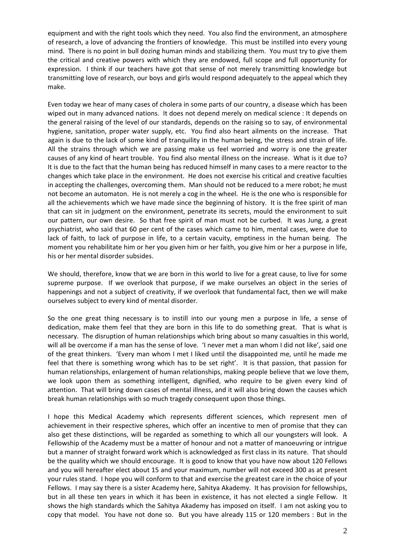equipment and with the right tools which they need. You also find the environment, an atmosphere of research, a love of advancing the frontiers of knowledge. This must be instilled into every young mind. There is no point in bull dozing human minds and stabilizing them. You must try to give them the critical and creative powers with which they are endowed, full scope and full opportunity for expression. I think if our teachers have got that sense of not merely transmitting knowledge but transmitting love of research, our boys and girls would respond adequately to the appeal which they make.

Even today we hear of many cases of cholera in some parts of our country, a disease which has been wiped out in many advanced nations. It does not depend merely on medical science : It depends on the general raising of the level of our standards, depends on the raising so to say, of environmental hygiene, sanitation, proper water supply, etc. You find also heart ailments on the increase. That again is due to the lack of some kind of tranquility in the human being, the stress and strain of life. All the strains through which we are passing make us feel worried and worry is one the greater causes of any kind of heart trouble. You find also mental illness on the increase. What is it due to? It is due to the fact that the human being has reduced himself in many cases to a mere reactor to the changes which take place in the environment. He does not exercise his critical and creative faculties in accepting the challenges, overcoming them. Man should not be reduced to a mere robot; he must not become an automaton. He is not merely a cog in the wheel. He is the one who is responsible for all the achievements which we have made since the beginning of history. It is the free spirit of man that can sit in judgment on the environment, penetrate its secrets, mould the environment to suit our pattern, our own desire. So that free spirit of man must not be curbed. It was Jung, a great psychiatrist, who said that 60 per cent of the cases which came to him, mental cases, were due to lack of faith, to lack of purpose in life, to a certain vacuity, emptiness in the human being. The moment you rehabilitate him or her you given him or her faith, you give him or her a purpose in life, his or her mental disorder subsides.

We should, therefore, know that we are born in this world to live for a great cause, to live for some supreme purpose. If we overlook that purpose, if we make ourselves an object in the series of happenings and not a subject of creativity, if we overlook that fundamental fact, then we will make ourselves subject to every kind of mental disorder.

So the one great thing necessary is to instill into our young men a purpose in life, a sense of dedication, make them feel that they are born in this life to do something great. That is what is necessary. The disruption of human relationships which bring about so many casualties in this world, will all be overcome if a man has the sense of love. 'I never met a man whom I did not like', said one of the great thinkers. 'Every man whom I met I liked until the disappointed me, until he made me feel that there is something wrong which has to be set right'. It is that passion, that passion for human relationships, enlargement of human relationships, making people believe that we love them, we look upon them as something intelligent, dignified, who require to be given every kind of attention. That will bring down cases of mental illness, and it will also bring down the causes which break human relationships with so much tragedy consequent upon those things.

I hope this Medical Academy which represents different sciences, which represent men of achievement in their respective spheres, which offer an incentive to men of promise that they can also get these distinctions, will be regarded as something to which all our youngsters will look. A Fellowship of the Academy must be a matter of honour and not a matter of manoeuvring or intrigue but a manner of straight forward work which is acknowledged as first class in its nature. That should be the quality which we should encourage. It is good to know that you have now about 120 Fellows and you will hereafter elect about 15 and your maximum, number will not exceed 300 as at present your rules stand. I hope you will conform to that and exercise the greatest care in the choice of your Fellows. I may say there is a sister Academy here, Sahitya Akademy. It has provision for fellowships, but in all these ten years in which it has been in existence, it has not elected a single Fellow. It shows the high standards which the Sahitya Akademy has imposed on itself. I am not asking you to copy that model. You have not done so. But you have already 115 or 120 members : But in the